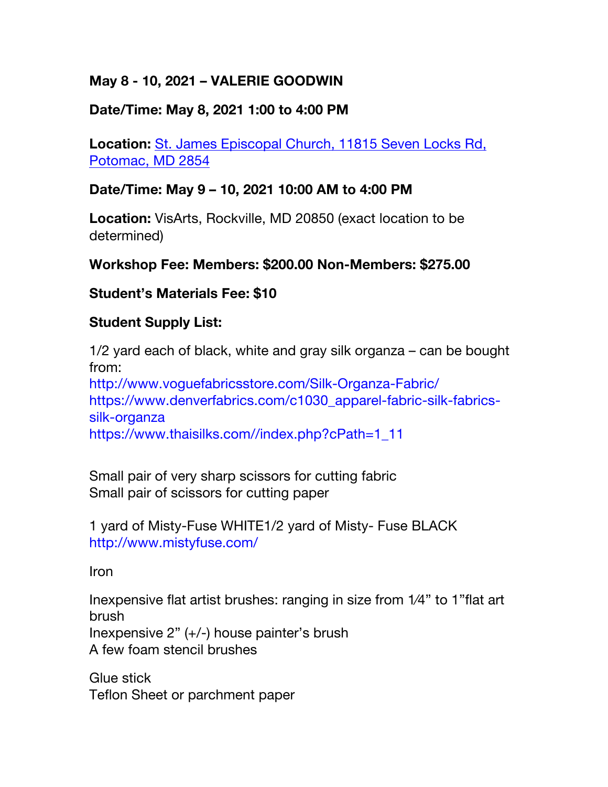# **May 8 - 10, 2021 – VALERIE GOODWIN**

## **Date/Time: May 8, 2021 1:00 to 4:00 PM**

**Location:** St. James Episcopal Church, 11815 Seven Locks Rd, Potomac, MD 2854

## **Date/Time: May 9 – 10, 2021 10:00 AM to 4:00 PM**

**Location:** VisArts, Rockville, MD 20850 (exact location to be determined)

#### **Workshop Fee: Members: \$200.00 Non-Members: \$275.00**

#### **Student's Materials Fee: \$10**

#### **Student Supply List:**

1/2 yard each of black, white and gray silk organza – can be bought from: http://www.voguefabricsstore.com/Silk-Organza-Fabric/ https://www.denverfabrics.com/c1030\_apparel-fabric-silk-fabricssilk-organza https://www.thaisilks.com//index.php?cPath=1\_11

Small pair of very sharp scissors for cutting fabric Small pair of scissors for cutting paper

1 yard of Misty-Fuse WHITE1/2 yard of Misty- Fuse BLACK http://www.mistyfuse.com/

Iron

Inexpensive flat artist brushes: ranging in size from 1⁄4" to 1"flat art brush Inexpensive 2" (+/-) house painter's brush A few foam stencil brushes

Glue stick Teflon Sheet or parchment paper